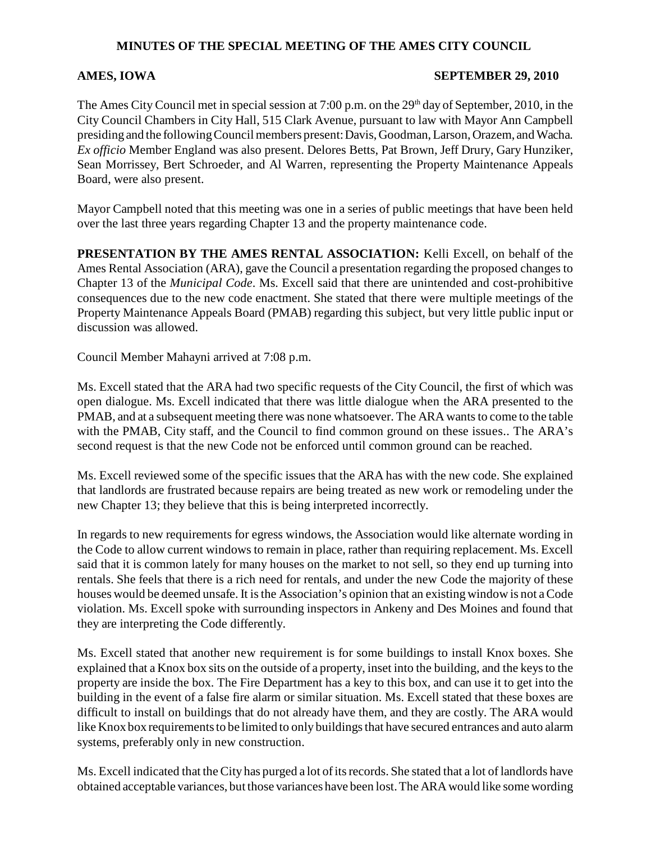## **MINUTES OF THE SPECIAL MEETING OF THE AMES CITY COUNCIL**

## **AMES, IOWA SEPTEMBER 29, 2010**

The Ames City Council met in special session at 7:00 p.m. on the 29<sup>th</sup> day of September, 2010, in the City Council Chambers in City Hall, 515 Clark Avenue, pursuant to law with Mayor Ann Campbell presiding and the following Council members present: Davis, Goodman, Larson, Orazem, and Wacha*. Ex officio* Member England was also present. Delores Betts, Pat Brown, Jeff Drury, Gary Hunziker, Sean Morrissey, Bert Schroeder, and Al Warren, representing the Property Maintenance Appeals Board, were also present.

Mayor Campbell noted that this meeting was one in a series of public meetings that have been held over the last three years regarding Chapter 13 and the property maintenance code.

**PRESENTATION BY THE AMES RENTAL ASSOCIATION:** Kelli Excell, on behalf of the Ames Rental Association (ARA), gave the Council a presentation regarding the proposed changes to Chapter 13 of the *Municipal Code*. Ms. Excell said that there are unintended and cost-prohibitive consequences due to the new code enactment. She stated that there were multiple meetings of the Property Maintenance Appeals Board (PMAB) regarding this subject, but very little public input or discussion was allowed.

Council Member Mahayni arrived at 7:08 p.m.

Ms. Excell stated that the ARA had two specific requests of the City Council, the first of which was open dialogue. Ms. Excell indicated that there was little dialogue when the ARA presented to the PMAB, and at a subsequent meeting there was none whatsoever. The ARA wants to come to the table with the PMAB, City staff, and the Council to find common ground on these issues.. The ARA's second request is that the new Code not be enforced until common ground can be reached.

Ms. Excell reviewed some of the specific issues that the ARA has with the new code. She explained that landlords are frustrated because repairs are being treated as new work or remodeling under the new Chapter 13; they believe that this is being interpreted incorrectly.

In regards to new requirements for egress windows, the Association would like alternate wording in the Code to allow current windows to remain in place, rather than requiring replacement. Ms. Excell said that it is common lately for many houses on the market to not sell, so they end up turning into rentals. She feels that there is a rich need for rentals, and under the new Code the majority of these houses would be deemed unsafe. It is the Association's opinion that an existing window is not a Code violation. Ms. Excell spoke with surrounding inspectors in Ankeny and Des Moines and found that they are interpreting the Code differently.

Ms. Excell stated that another new requirement is for some buildings to install Knox boxes. She explained that a Knox box sits on the outside of a property, inset into the building, and the keys to the property are inside the box. The Fire Department has a key to this box, and can use it to get into the building in the event of a false fire alarm or similar situation. Ms. Excell stated that these boxes are difficult to install on buildings that do not already have them, and they are costly. The ARA would like Knox box requirements to be limited to only buildings that have secured entrances and auto alarm systems, preferably only in new construction.

Ms. Excell indicated that the City has purged a lot of its records. She stated that a lot of landlords have obtained acceptable variances, but those variances have been lost. The ARA would like some wording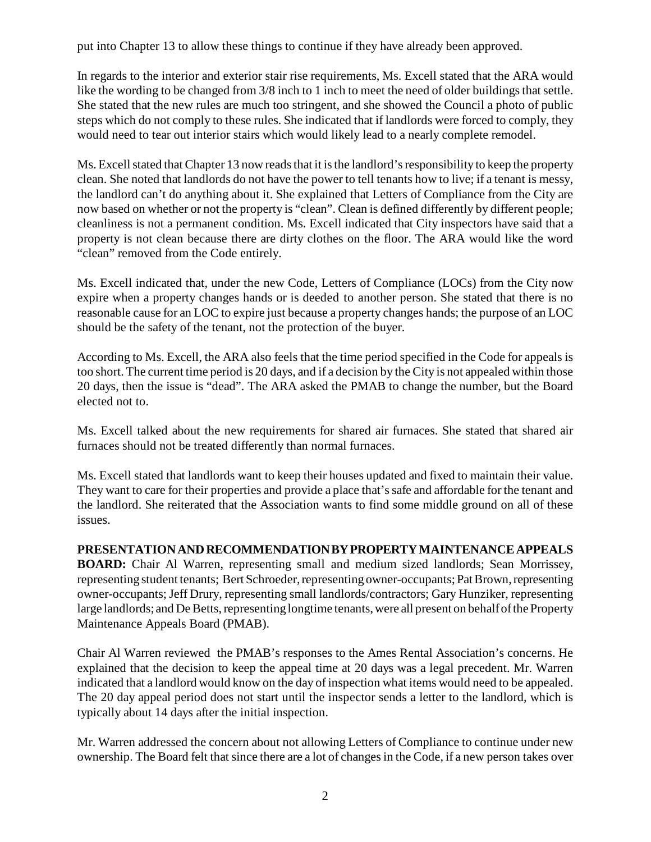put into Chapter 13 to allow these things to continue if they have already been approved.

In regards to the interior and exterior stair rise requirements, Ms. Excell stated that the ARA would like the wording to be changed from  $3/8$  inch to 1 inch to meet the need of older buildings that settle. She stated that the new rules are much too stringent, and she showed the Council a photo of public steps which do not comply to these rules. She indicated that if landlords were forced to comply, they would need to tear out interior stairs which would likely lead to a nearly complete remodel.

Ms. Excell stated that Chapter 13 now reads that it is the landlord's responsibility to keep the property clean. She noted that landlords do not have the power to tell tenants how to live; if a tenant is messy, the landlord can't do anything about it. She explained that Letters of Compliance from the City are now based on whether or not the property is "clean". Clean is defined differently by different people; cleanliness is not a permanent condition. Ms. Excell indicated that City inspectors have said that a property is not clean because there are dirty clothes on the floor. The ARA would like the word "clean" removed from the Code entirely.

Ms. Excell indicated that, under the new Code, Letters of Compliance (LOCs) from the City now expire when a property changes hands or is deeded to another person. She stated that there is no reasonable cause for an LOC to expire just because a property changes hands; the purpose of an LOC should be the safety of the tenant, not the protection of the buyer.

According to Ms. Excell, the ARA also feels that the time period specified in the Code for appeals is too short. The current time period is 20 days, and if a decision by the City is not appealed within those 20 days, then the issue is "dead". The ARA asked the PMAB to change the number, but the Board elected not to.

Ms. Excell talked about the new requirements for shared air furnaces. She stated that shared air furnaces should not be treated differently than normal furnaces.

Ms. Excell stated that landlords want to keep their houses updated and fixed to maintain their value. They want to care for their properties and provide a place that's safe and affordable for the tenant and the landlord. She reiterated that the Association wants to find some middle ground on all of these issues.

**PRESENTATION AND RECOMMENDATION BY PROPERTY MAINTENANCE APPEALS BOARD:** Chair Al Warren, representing small and medium sized landlords; Sean Morrissey, representing student tenants; Bert Schroeder, representing owner-occupants; Pat Brown, representing owner-occupants;Jeff Drury, representing small landlords/contractors; Gary Hunziker, representing large landlords; and De Betts, representing longtime tenants, were all present on behalf of the Property Maintenance Appeals Board (PMAB).

Chair Al Warren reviewed the PMAB's responses to the Ames Rental Association's concerns. He explained that the decision to keep the appeal time at 20 days was a legal precedent. Mr. Warren indicated that a landlord would know on the day of inspection what items would need to be appealed. The 20 day appeal period does not start until the inspector sends a letter to the landlord, which is typically about 14 days after the initial inspection.

Mr. Warren addressed the concern about not allowing Letters of Compliance to continue under new ownership. The Board felt that since there are a lot of changes in the Code, if a new person takes over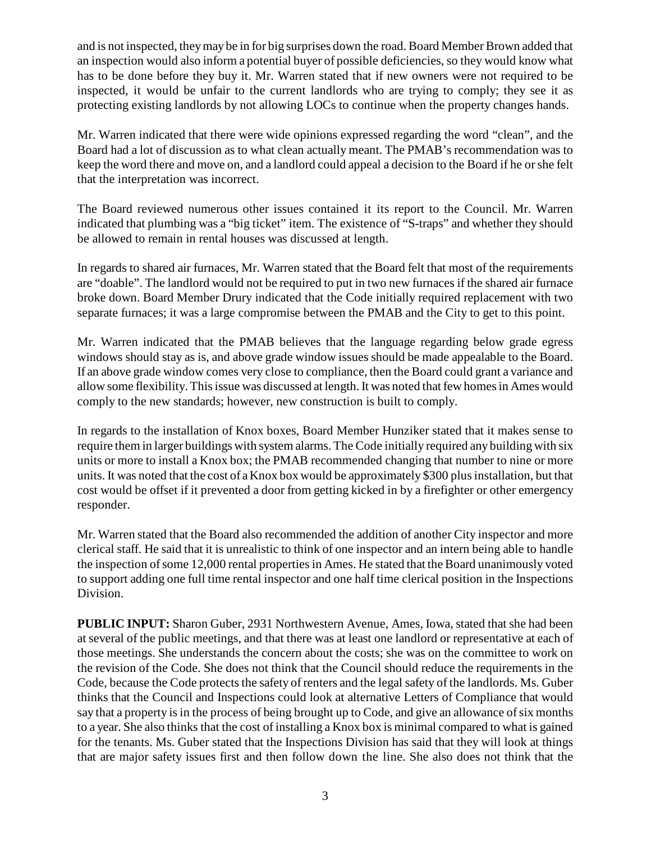and is not inspected, they may be in for big surprises down the road. Board Member Brown added that an inspection would also inform a potential buyer of possible deficiencies, so they would know what has to be done before they buy it. Mr. Warren stated that if new owners were not required to be inspected, it would be unfair to the current landlords who are trying to comply; they see it as protecting existing landlords by not allowing LOCs to continue when the property changes hands.

Mr. Warren indicated that there were wide opinions expressed regarding the word "clean", and the Board had a lot of discussion as to what clean actually meant. The PMAB's recommendation was to keep the word there and move on, and a landlord could appeal a decision to the Board if he or she felt that the interpretation was incorrect.

The Board reviewed numerous other issues contained it its report to the Council. Mr. Warren indicated that plumbing was a "big ticket" item. The existence of "S-traps" and whether they should be allowed to remain in rental houses was discussed at length.

In regards to shared air furnaces, Mr. Warren stated that the Board felt that most of the requirements are "doable". The landlord would not be required to put in two new furnaces if the shared air furnace broke down. Board Member Drury indicated that the Code initially required replacement with two separate furnaces; it was a large compromise between the PMAB and the City to get to this point.

Mr. Warren indicated that the PMAB believes that the language regarding below grade egress windows should stay as is, and above grade window issues should be made appealable to the Board. If an above grade window comes very close to compliance, then the Board could grant a variance and allow some flexibility. This issue was discussed at length. It was noted that few homes in Ames would comply to the new standards; however, new construction is built to comply.

In regards to the installation of Knox boxes, Board Member Hunziker stated that it makes sense to require them in larger buildings with system alarms. The Code initially required any building with six units or more to install a Knox box; the PMAB recommended changing that number to nine or more units. It was noted that the cost of a Knox box would be approximately \$300 plus installation, but that cost would be offset if it prevented a door from getting kicked in by a firefighter or other emergency responder.

Mr. Warren stated that the Board also recommended the addition of another City inspector and more clerical staff. He said that it is unrealistic to think of one inspector and an intern being able to handle the inspection of some 12,000 rental properties in Ames. He stated that the Board unanimously voted to support adding one full time rental inspector and one half time clerical position in the Inspections Division.

**PUBLIC INPUT:** Sharon Guber, 2931 Northwestern Avenue, Ames, Iowa, stated that she had been at several of the public meetings, and that there was at least one landlord or representative at each of those meetings. She understands the concern about the costs; she was on the committee to work on the revision of the Code. She does not think that the Council should reduce the requirements in the Code, because the Code protects the safety of renters and the legal safety of the landlords. Ms. Guber thinks that the Council and Inspections could look at alternative Letters of Compliance that would say that a property is in the process of being brought up to Code, and give an allowance of six months to a year. She also thinks that the cost of installing a Knox box is minimal compared to what is gained for the tenants. Ms. Guber stated that the Inspections Division has said that they will look at things that are major safety issues first and then follow down the line. She also does not think that the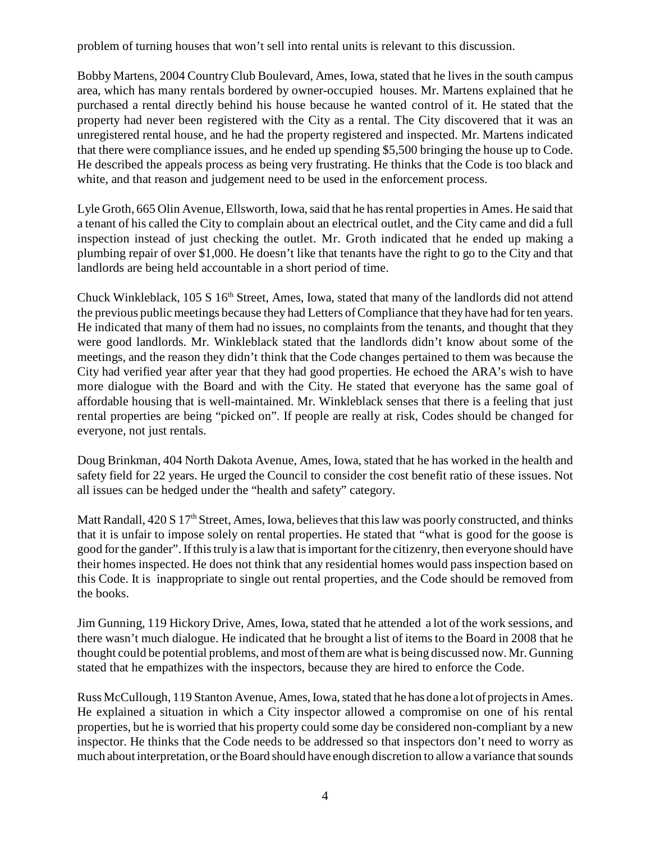problem of turning houses that won't sell into rental units is relevant to this discussion.

Bobby Martens, 2004 Country Club Boulevard, Ames, Iowa, stated that he lives in the south campus area, which has many rentals bordered by owner-occupied houses. Mr. Martens explained that he purchased a rental directly behind his house because he wanted control of it. He stated that the property had never been registered with the City as a rental. The City discovered that it was an unregistered rental house, and he had the property registered and inspected. Mr. Martens indicated that there were compliance issues, and he ended up spending \$5,500 bringing the house up to Code. He described the appeals process as being very frustrating. He thinks that the Code is too black and white, and that reason and judgement need to be used in the enforcement process.

Lyle Groth, 665 Olin Avenue, Ellsworth, Iowa, said that he has rental properties in Ames. He said that a tenant of his called the City to complain about an electrical outlet, and the City came and did a full inspection instead of just checking the outlet. Mr. Groth indicated that he ended up making a plumbing repair of over \$1,000. He doesn't like that tenants have the right to go to the City and that landlords are being held accountable in a short period of time.

Chuck Winkleblack, 105 S 16<sup>th</sup> Street, Ames, Iowa, stated that many of the landlords did not attend the previous public meetings because they had Letters of Compliance that they have had for ten years. He indicated that many of them had no issues, no complaints from the tenants, and thought that they were good landlords. Mr. Winkleblack stated that the landlords didn't know about some of the meetings, and the reason they didn't think that the Code changes pertained to them was because the City had verified year after year that they had good properties. He echoed the ARA's wish to have more dialogue with the Board and with the City. He stated that everyone has the same goal of affordable housing that is well-maintained. Mr. Winkleblack senses that there is a feeling that just rental properties are being "picked on". If people are really at risk, Codes should be changed for everyone, not just rentals.

Doug Brinkman, 404 North Dakota Avenue, Ames, Iowa, stated that he has worked in the health and safety field for 22 years. He urged the Council to consider the cost benefit ratio of these issues. Not all issues can be hedged under the "health and safety" category.

Matt Randall, 420 S 17<sup>th</sup> Street, Ames, Iowa, believes that this law was poorly constructed, and thinks that it is unfair to impose solely on rental properties. He stated that "what is good for the goose is good for the gander". If this truly is a law that is important for the citizenry, then everyone should have their homes inspected. He does not think that any residential homes would pass inspection based on this Code. It is inappropriate to single out rental properties, and the Code should be removed from the books.

Jim Gunning, 119 Hickory Drive, Ames, Iowa, stated that he attended a lot of the work sessions, and there wasn't much dialogue. He indicated that he brought a list of items to the Board in 2008 that he thought could be potential problems, and most of them are what is being discussed now. Mr. Gunning stated that he empathizes with the inspectors, because they are hired to enforce the Code.

Russ McCullough, 119 Stanton Avenue, Ames, Iowa, stated that he has done a lot of projects in Ames. He explained a situation in which a City inspector allowed a compromise on one of his rental properties, but he is worried that his property could some day be considered non-compliant by a new inspector. He thinks that the Code needs to be addressed so that inspectors don't need to worry as much about interpretation, or the Board should have enough discretion to allow a variance that sounds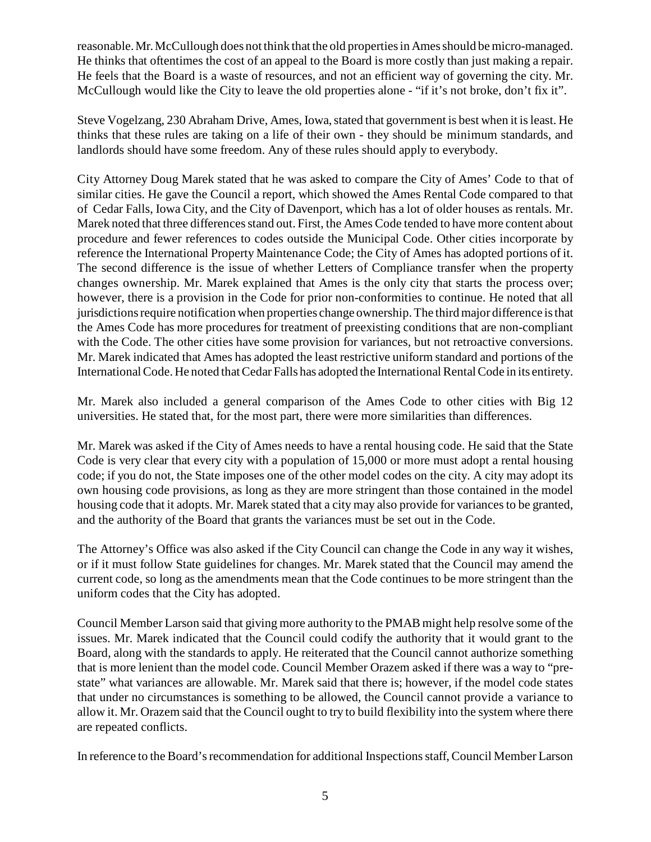reasonable. Mr. McCullough does not think that the old properties in Ames should be micro-managed. He thinks that oftentimes the cost of an appeal to the Board is more costly than just making a repair. He feels that the Board is a waste of resources, and not an efficient way of governing the city. Mr. McCullough would like the City to leave the old properties alone - "if it's not broke, don't fix it".

Steve Vogelzang, 230 Abraham Drive, Ames, Iowa, stated that government is best when it is least. He thinks that these rules are taking on a life of their own - they should be minimum standards, and landlords should have some freedom. Any of these rules should apply to everybody.

City Attorney Doug Marek stated that he was asked to compare the City of Ames' Code to that of similar cities. He gave the Council a report, which showed the Ames Rental Code compared to that of Cedar Falls, Iowa City, and the City of Davenport, which has a lot of older houses as rentals. Mr. Marek noted that three differences stand out. First, the Ames Code tended to have more content about procedure and fewer references to codes outside the Municipal Code. Other cities incorporate by reference the International Property Maintenance Code; the City of Ames has adopted portions of it. The second difference is the issue of whether Letters of Compliance transfer when the property changes ownership. Mr. Marek explained that Ames is the only city that starts the process over; however, there is a provision in the Code for prior non-conformities to continue. He noted that all jurisdictions require notification when properties change ownership. The third major difference is that the Ames Code has more procedures for treatment of preexisting conditions that are non-compliant with the Code. The other cities have some provision for variances, but not retroactive conversions. Mr. Marek indicated that Ames has adopted the least restrictive uniform standard and portions of the International Code. He noted that Cedar Falls has adopted the International Rental Code in its entirety.

Mr. Marek also included a general comparison of the Ames Code to other cities with Big 12 universities. He stated that, for the most part, there were more similarities than differences.

Mr. Marek was asked if the City of Ames needs to have a rental housing code. He said that the State Code is very clear that every city with a population of 15,000 or more must adopt a rental housing code; if you do not, the State imposes one of the other model codes on the city. A city may adopt its own housing code provisions, as long as they are more stringent than those contained in the model housing code that it adopts. Mr. Marek stated that a city may also provide for variances to be granted, and the authority of the Board that grants the variances must be set out in the Code.

The Attorney's Office was also asked if the City Council can change the Code in any way it wishes, or if it must follow State guidelines for changes. Mr. Marek stated that the Council may amend the current code, so long as the amendments mean that the Code continues to be more stringent than the uniform codes that the City has adopted.

Council Member Larson said that giving more authority to the PMAB might help resolve some of the issues. Mr. Marek indicated that the Council could codify the authority that it would grant to the Board, along with the standards to apply. He reiterated that the Council cannot authorize something that is more lenient than the model code. Council Member Orazem asked if there was a way to "prestate" what variances are allowable. Mr. Marek said that there is; however, if the model code states that under no circumstances is something to be allowed, the Council cannot provide a variance to allow it. Mr. Orazem said that the Council ought to try to build flexibility into the system where there are repeated conflicts.

In reference to the Board's recommendation for additional Inspections staff, Council Member Larson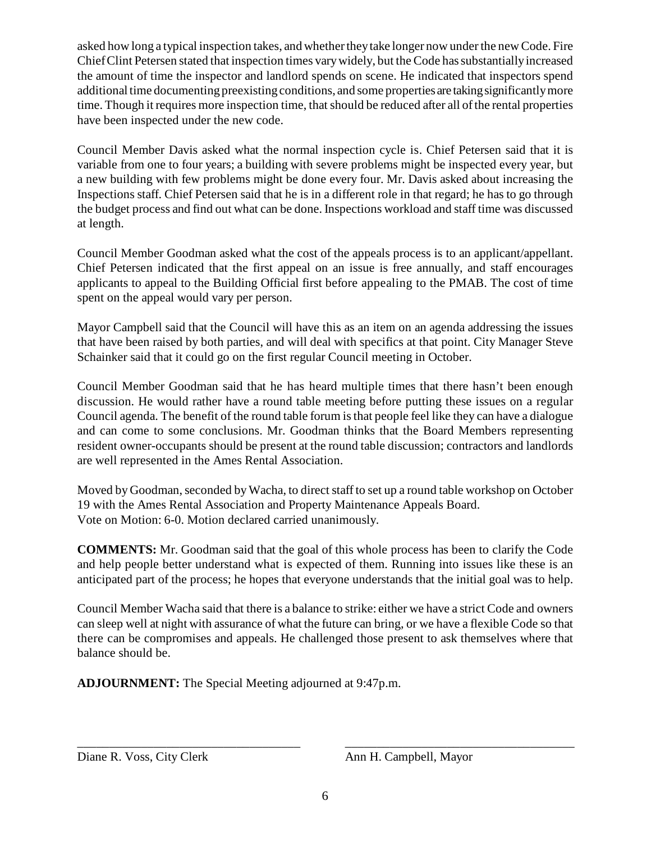asked how long a typical inspection takes, and whether they take longer now under the new Code. Fire Chief Clint Petersen stated that inspection times vary widely, but the Code has substantially increased the amount of time the inspector and landlord spends on scene. He indicated that inspectors spend additional time documenting preexisting conditions, and some properties are taking significantly more time. Though it requires more inspection time, that should be reduced after all of the rental properties have been inspected under the new code.

Council Member Davis asked what the normal inspection cycle is. Chief Petersen said that it is variable from one to four years; a building with severe problems might be inspected every year, but a new building with few problems might be done every four. Mr. Davis asked about increasing the Inspections staff. Chief Petersen said that he is in a different role in that regard; he has to go through the budget process and find out what can be done. Inspections workload and staff time was discussed at length.

Council Member Goodman asked what the cost of the appeals process is to an applicant/appellant. Chief Petersen indicated that the first appeal on an issue is free annually, and staff encourages applicants to appeal to the Building Official first before appealing to the PMAB. The cost of time spent on the appeal would vary per person.

Mayor Campbell said that the Council will have this as an item on an agenda addressing the issues that have been raised by both parties, and will deal with specifics at that point. City Manager Steve Schainker said that it could go on the first regular Council meeting in October.

Council Member Goodman said that he has heard multiple times that there hasn't been enough discussion. He would rather have a round table meeting before putting these issues on a regular Council agenda. The benefit of the round table forum is that people feel like they can have a dialogue and can come to some conclusions. Mr. Goodman thinks that the Board Members representing resident owner-occupants should be present at the round table discussion; contractors and landlords are well represented in the Ames Rental Association.

Moved by Goodman, seconded by Wacha, to direct staff to set up a round table workshop on October 19 with the Ames Rental Association and Property Maintenance Appeals Board. Vote on Motion: 6-0. Motion declared carried unanimously.

**COMMENTS:** Mr. Goodman said that the goal of this whole process has been to clarify the Code and help people better understand what is expected of them. Running into issues like these is an anticipated part of the process; he hopes that everyone understands that the initial goal was to help.

Council Member Wacha said that there is a balance to strike: either we have a strict Code and owners can sleep well at night with assurance of what the future can bring, or we have a flexible Code so that there can be compromises and appeals. He challenged those present to ask themselves where that balance should be.

**ADJOURNMENT:** The Special Meeting adjourned at 9:47p.m.

Diane R. Voss, City Clerk Ann H. Campbell, Mayor

\_\_\_\_\_\_\_\_\_\_\_\_\_\_\_\_\_\_\_\_\_\_\_\_\_\_\_\_\_\_\_\_\_\_\_ \_\_\_\_\_\_\_\_\_\_\_\_\_\_\_\_\_\_\_\_\_\_\_\_\_\_\_\_\_\_\_\_\_\_\_\_